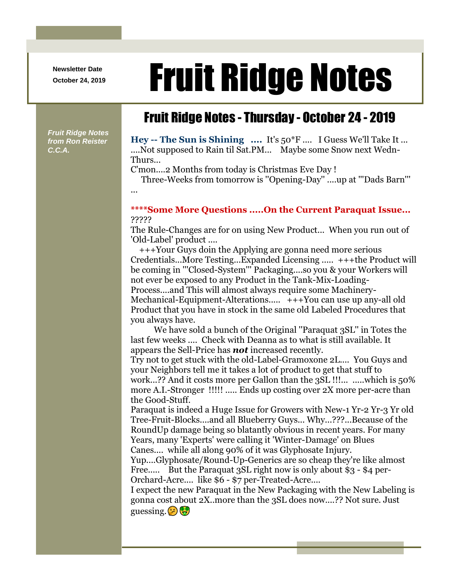**Newsletter Date**

# Newsletter Date **Fruit Ridge Notes**

## Fruit Ridge Notes - Thursday - October 24 - 2019

*Fruit Ridge Notes from Ron Reister C.C.A.*

...

**Hey -- The Sun is Shining ....** It's 50\*F .... I Guess We'll Take It ... ....Not supposed to Rain til Sat.PM... Maybe some Snow next Wedn-Thurs...

C'mon....2 Months from today is Christmas Eve Day !

Three-Weeks from tomorrow is ''Opening-Day'' ....up at '''Dads Barn'''

## **\*\*\*\*Some More Questions .....On the Current Paraquat Issue...** ?????

The Rule-Changes are for on using New Product... When you run out of 'Old-Label' product ....

+++Your Guys doin the Applying are gonna need more serious Credentials...More Testing...Expanded Licensing ..... +++the Product will be coming in '''Closed-System''' Packaging....so you & your Workers will not ever be exposed to any Product in the Tank-Mix-Loading-Process....and This will almost always require some Machinery-Mechanical-Equipment-Alterations..... +++You can use up any-all old Product that you have in stock in the same old Labeled Procedures that you always have.

We have sold a bunch of the Original ''Paraquat 3SL'' in Totes the last few weeks .... Check with Deanna as to what is still available. It appears the Sell-Price has *not* increased recently.

Try not to get stuck with the old-Label-Gramoxone 2L.... You Guys and your Neighbors tell me it takes a lot of product to get that stuff to work...?? And it costs more per Gallon than the 3SL !!!... .....which is 50% more A.I.-Stronger !!!!! ..... Ends up costing over 2X more per-acre than the Good-Stuff.

Paraquat is indeed a Huge Issue for Growers with New-1 Yr-2 Yr-3 Yr old Tree-Fruit-Blocks....and all Blueberry Guys... Why...???...Because of the RoundUp damage being so blatantly obvious in recent years. For many Years, many 'Experts' were calling it 'Winter-Damage' on Blues Canes.... while all along 90% of it was Glyphosate Injury.

Yup....Glyphosate/Round-Up-Generics are so cheap they're like almost Free..... But the Paraquat 3SL right now is only about \$3 - \$4 per-Orchard-Acre.... like \$6 - \$7 per-Treated-Acre....

I expect the new Paraquat in the New Packaging with the New Labeling is gonna cost about 2X..more than the 3SL does now....?? Not sure. Just guessing.  $\left( \frac{1}{2} \right) \frac{1}{2}$